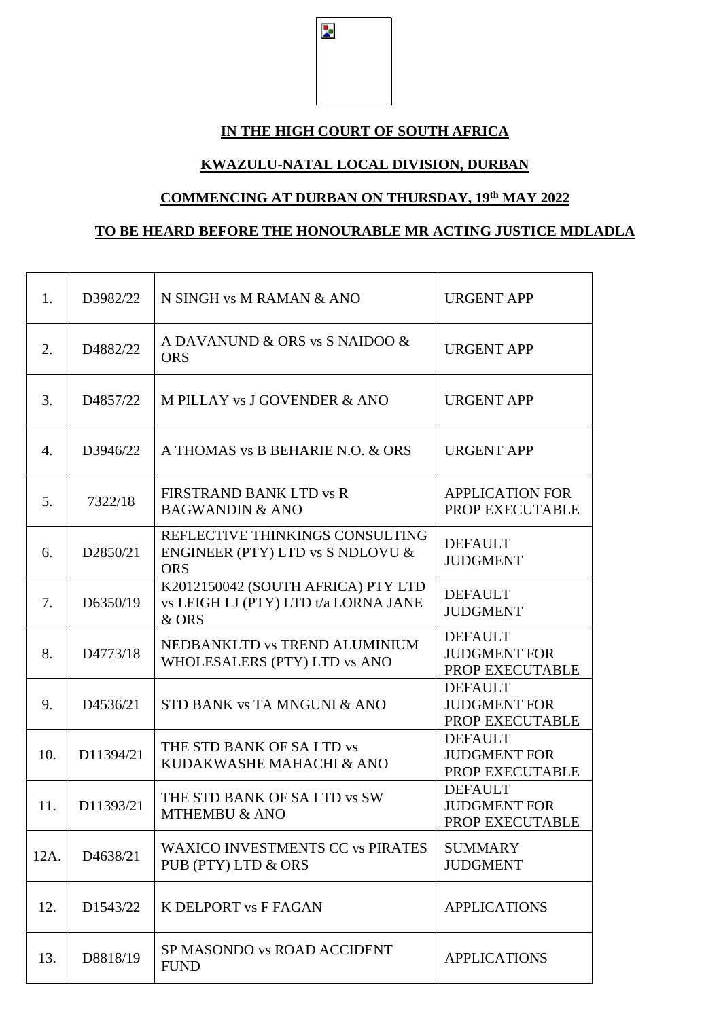$\overline{\mathbf{z}}$ 

#### **IN THE HIGH COURT OF SOUTH AFRICA**

#### **KWAZULU-NATAL LOCAL DIVISION, DURBAN**

#### **COMMENCING AT DURBAN ON THURSDAY, 19 th MAY 2022**

### **TO BE HEARD BEFORE THE HONOURABLE MR ACTING JUSTICE MDLADLA**

| 1.               | D3982/22  | N SINGH vs M RAMAN & ANO                                                            | <b>URGENT APP</b>                                        |
|------------------|-----------|-------------------------------------------------------------------------------------|----------------------------------------------------------|
| 2.               | D4882/22  | A DAVANUND & ORS vs S NAIDOO &<br><b>ORS</b>                                        | <b>URGENT APP</b>                                        |
| 3.               | D4857/22  | M PILLAY vs J GOVENDER & ANO                                                        | <b>URGENT APP</b>                                        |
| $\overline{4}$ . | D3946/22  | A THOMAS vs B BEHARIE N.O. & ORS                                                    | <b>URGENT APP</b>                                        |
| 5.               | 7322/18   | FIRSTRAND BANK LTD vs R<br><b>BAGWANDIN &amp; ANO</b>                               | <b>APPLICATION FOR</b><br>PROP EXECUTABLE                |
| 6.               | D2850/21  | REFLECTIVE THINKINGS CONSULTING<br>ENGINEER (PTY) LTD vs S NDLOVU &<br><b>ORS</b>   | <b>DEFAULT</b><br><b>JUDGMENT</b>                        |
| 7.               | D6350/19  | K2012150042 (SOUTH AFRICA) PTY LTD<br>vs LEIGH LJ (PTY) LTD t/a LORNA JANE<br>& ORS | <b>DEFAULT</b><br><b>JUDGMENT</b>                        |
| 8.               | D4773/18  | NEDBANKLTD vs TREND ALUMINIUM<br>WHOLESALERS (PTY) LTD vs ANO                       | <b>DEFAULT</b><br><b>JUDGMENT FOR</b><br>PROP EXECUTABLE |
| 9.               | D4536/21  | STD BANK vs TA MNGUNI & ANO                                                         | <b>DEFAULT</b><br><b>JUDGMENT FOR</b><br>PROP EXECUTABLE |
| 10.              | D11394/21 | THE STD BANK OF SA LTD vs<br>KUDAKWASHE MAHACHI & ANO                               | <b>DEFAULT</b><br><b>JUDGMENT FOR</b><br>PROP EXECUTABLE |
| 11.              | D11393/21 | THE STD BANK OF SA LTD vs SW<br><b>MTHEMBU &amp; ANO</b>                            | <b>DEFAULT</b><br><b>JUDGMENT FOR</b><br>PROP EXECUTABLE |
| 12A.             | D4638/21  | <b>WAXICO INVESTMENTS CC vs PIRATES</b><br>PUB (PTY) LTD & ORS                      | <b>SUMMARY</b><br><b>JUDGMENT</b>                        |
| 12.              | D1543/22  | K DELPORT VS F FAGAN                                                                | <b>APPLICATIONS</b>                                      |
| 13.              | D8818/19  | SP MASONDO vs ROAD ACCIDENT<br><b>FUND</b>                                          | <b>APPLICATIONS</b>                                      |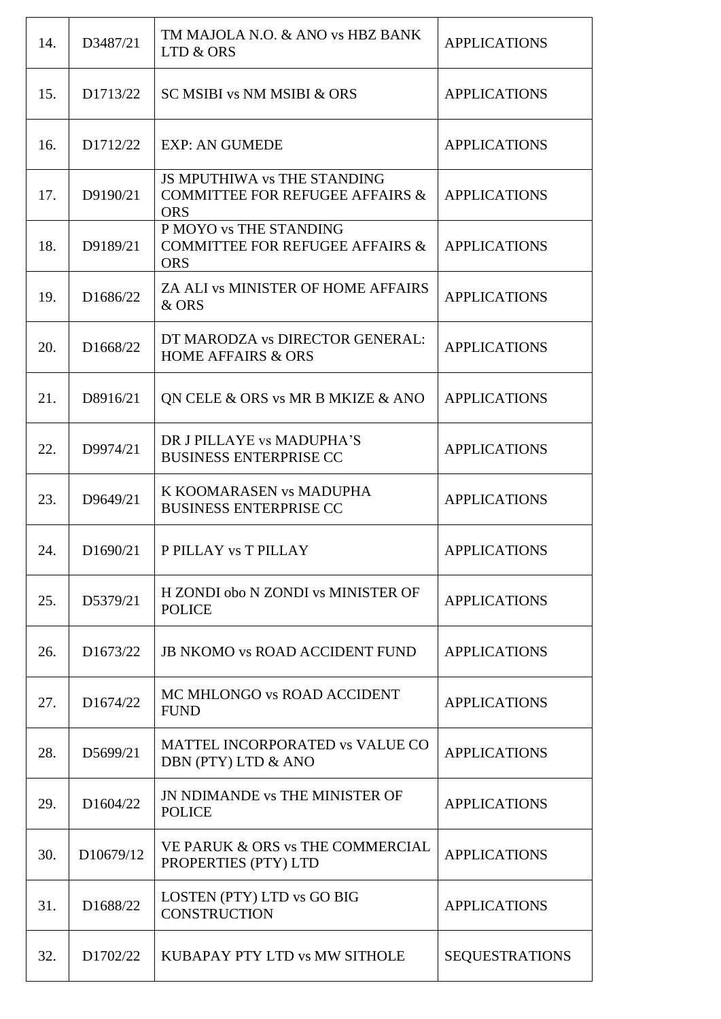| 14. | D3487/21  | TM MAJOLA N.O. & ANO vs HBZ BANK<br>LTD & ORS                                           | <b>APPLICATIONS</b>   |
|-----|-----------|-----------------------------------------------------------------------------------------|-----------------------|
| 15. | D1713/22  | SC MSIBI vs NM MSIBI & ORS                                                              | <b>APPLICATIONS</b>   |
| 16. | D1712/22  | <b>EXP: AN GUMEDE</b>                                                                   | <b>APPLICATIONS</b>   |
| 17. | D9190/21  | JS MPUTHIWA vs THE STANDING<br><b>COMMITTEE FOR REFUGEE AFFAIRS &amp;</b><br><b>ORS</b> | <b>APPLICATIONS</b>   |
| 18. | D9189/21  | P MOYO vs THE STANDING<br><b>COMMITTEE FOR REFUGEE AFFAIRS &amp;</b><br><b>ORS</b>      | <b>APPLICATIONS</b>   |
| 19. | D1686/22  | ZA ALI VS MINISTER OF HOME AFFAIRS<br>& ORS                                             | <b>APPLICATIONS</b>   |
| 20. | D1668/22  | DT MARODZA vs DIRECTOR GENERAL:<br><b>HOME AFFAIRS &amp; ORS</b>                        | <b>APPLICATIONS</b>   |
| 21. | D8916/21  | QN CELE & ORS vs MR B MKIZE & ANO                                                       | <b>APPLICATIONS</b>   |
| 22. | D9974/21  | DR J PILLAYE vs MADUPHA'S<br><b>BUSINESS ENTERPRISE CC</b>                              | <b>APPLICATIONS</b>   |
| 23. | D9649/21  | K KOOMARASEN vs MADUPHA<br><b>BUSINESS ENTERPRISE CC</b>                                | <b>APPLICATIONS</b>   |
| 24. | D1690/21  | P PILLAY vs T PILLAY                                                                    | <b>APPLICATIONS</b>   |
| 25. | D5379/21  | H ZONDI obo N ZONDI vs MINISTER OF<br><b>POLICE</b>                                     | <b>APPLICATIONS</b>   |
| 26. | D1673/22  | <b>JB NKOMO vs ROAD ACCIDENT FUND</b>                                                   | <b>APPLICATIONS</b>   |
| 27. | D1674/22  | MC MHLONGO vs ROAD ACCIDENT<br><b>FUND</b>                                              | <b>APPLICATIONS</b>   |
| 28. | D5699/21  | MATTEL INCORPORATED vs VALUE CO<br>DBN (PTY) LTD & ANO                                  | <b>APPLICATIONS</b>   |
| 29. | D1604/22  | <b>JN NDIMANDE vs THE MINISTER OF</b><br><b>POLICE</b>                                  | <b>APPLICATIONS</b>   |
| 30. | D10679/12 | VE PARUK & ORS vs THE COMMERCIAL<br>PROPERTIES (PTY) LTD                                | <b>APPLICATIONS</b>   |
| 31. | D1688/22  | LOSTEN (PTY) LTD vs GO BIG<br><b>CONSTRUCTION</b>                                       | <b>APPLICATIONS</b>   |
| 32. | D1702/22  | KUBAPAY PTY LTD vs MW SITHOLE                                                           | <b>SEQUESTRATIONS</b> |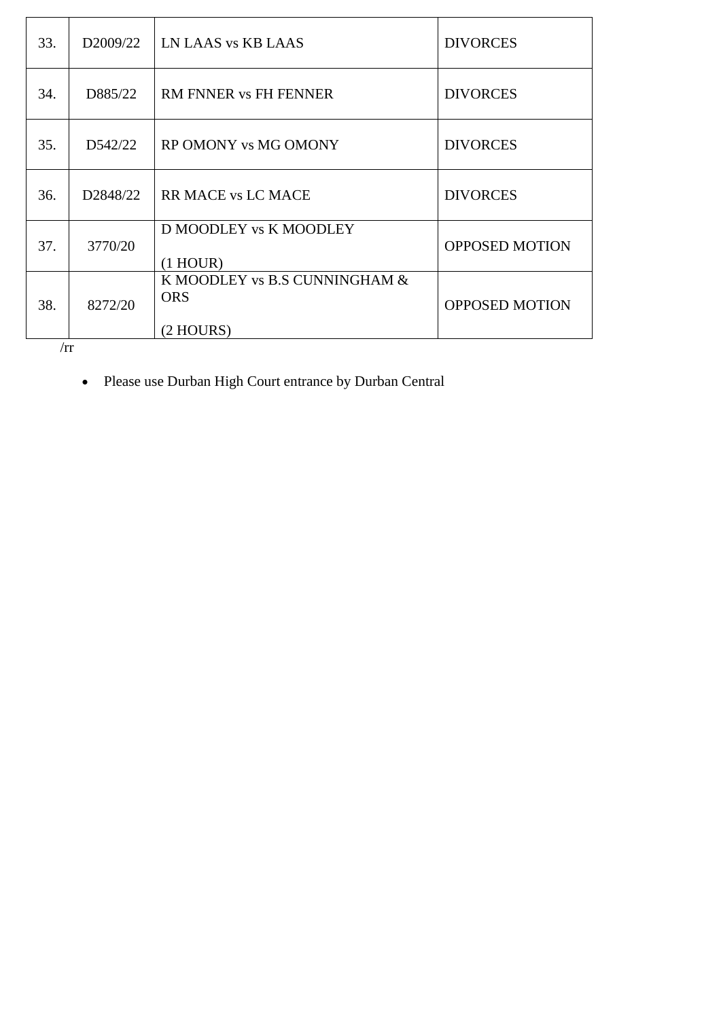| 33. | D <sub>2009</sub> /22 | LN LAAS vs KB LAAS                                         | <b>DIVORCES</b>       |
|-----|-----------------------|------------------------------------------------------------|-----------------------|
| 34. | D885/22               | <b>RM FNNER vs FH FENNER</b>                               | <b>DIVORCES</b>       |
| 35. | D542/22               | RP OMONY vs MG OMONY                                       | <b>DIVORCES</b>       |
| 36. | D <sub>2848</sub> /22 | <b>RR MACE vs LC MACE</b>                                  | <b>DIVORCES</b>       |
| 37. | 3770/20               | D MOODLEY vs K MOODLEY<br>$(1$ HOUR)                       | <b>OPPOSED MOTION</b> |
| 38. | 8272/20               | K MOODLEY vs B.S CUNNINGHAM &<br><b>ORS</b><br>$(2$ HOURS) | <b>OPPOSED MOTION</b> |

 $/ \mathrm{rr}$ 

• Please use Durban High Court entrance by Durban Central